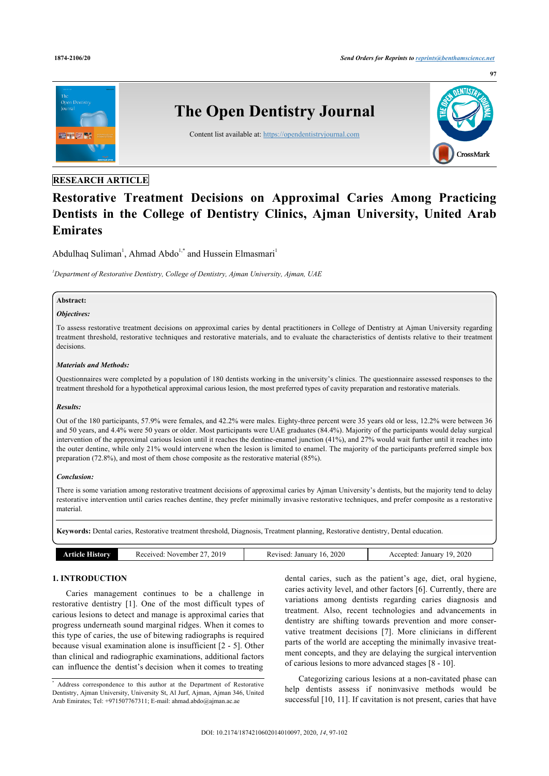

# **RESEARCH ARTICLE**

# **Restorative Treatment Decisions on Approximal Caries Among Practicing Dentists in the College of Dentistry Clinics, Ajman University, United Arab Emirates**

Abdulhaq Suliman<sup>1</sup>, Ahmad Abdo<sup>1,\*</sup> and Hussein Elmasmari<sup>1</sup>

*<sup>1</sup>Department of Restorative Dentistry, College of Dentistry, Ajman University, Ajman, UAE*

# **Abstract:**

#### *Objectives:*

To assess restorative treatment decisions on approximal caries by dental practitioners in College of Dentistry at Ajman University regarding treatment threshold, restorative techniques and restorative materials, and to evaluate the characteristics of dentists relative to their treatment decisions.

#### *Materials and Methods:*

Questionnaires were completed by a population of 180 dentists working in the university's clinics. The questionnaire assessed responses to the treatment threshold for a hypothetical approximal carious lesion, the most preferred types of cavity preparation and restorative materials.

#### *Results:*

Out of the 180 participants, 57.9% were females, and 42.2% were males. Eighty-three percent were 35 years old or less, 12.2% were between 36 and 50 years, and 4.4% were 50 years or older. Most participants were UAE graduates (84.4%). Majority of the participants would delay surgical intervention of the approximal carious lesion until it reaches the dentine-enamel junction (41%), and 27% would wait further until it reaches into the outer dentine, while only 21% would intervene when the lesion is limited to enamel. The majority of the participants preferred simple box preparation (72.8%), and most of them chose composite as the restorative material (85%).

#### *Conclusion:*

There is some variation among restorative treatment decisions of approximal caries by Ajman University's dentists, but the majority tend to delay restorative intervention until caries reaches dentine, they prefer minimally invasive restorative techniques, and prefer composite as a restorative material.

**Keywords:** Dental caries, Restorative treatment threshold, Diagnosis, Treatment planning, Restorative dentistry, Dental education.

| 2020<br>2020<br>2019<br>ט ו<br>. November<br>Accented <sup>.</sup><br>January<br>. HSMOT<br>January<br>Received:<br>Revised.<br>мпо Ід |
|----------------------------------------------------------------------------------------------------------------------------------------|
|----------------------------------------------------------------------------------------------------------------------------------------|

#### **1. INTRODUCTION**

Caries management continues to be a challenge in restorative dentistry [1]. One of the most difficult types of carious lesions to detect and manage is approximal caries that progress underneath sound marginal ridges. When it comes to this type of caries, the use of bitewing radiographs is required because visual examination alone is insufficient [2 - 5]. Other than clinical and radiographic examinations, additional factors can influence the dentist's decision when it comes to treating

dental caries, such as the patient's age, diet, oral hygiene, caries activity level, and other factors [6]. Currently, there are variations among dentists regarding caries diagnosis and treatment. Also, recent technologies and advancements in dentistry are shifting towards prevention and more conservative treatment decisions [7]. More clinicians in different parts of the world are accepting the minimally invasive treatment concepts, and they are delaying the surgical intervention of carious lesions to more advanced stages [8 - 10].

Categorizing carious lesions at a non-cavitated phase can help dentists assess if noninvasive methods would be successful [10, 11]. If cavitation is not present, caries that have

<sup>\*</sup> Address correspondence to this author at the Department of Restorative Dentistry, Ajman University, University St, Al Jurf, Ajman, Ajman 346, United Arab Emirates; Tel: +971507767311; E-mail: ahmad.abdo@ajman.ac.ae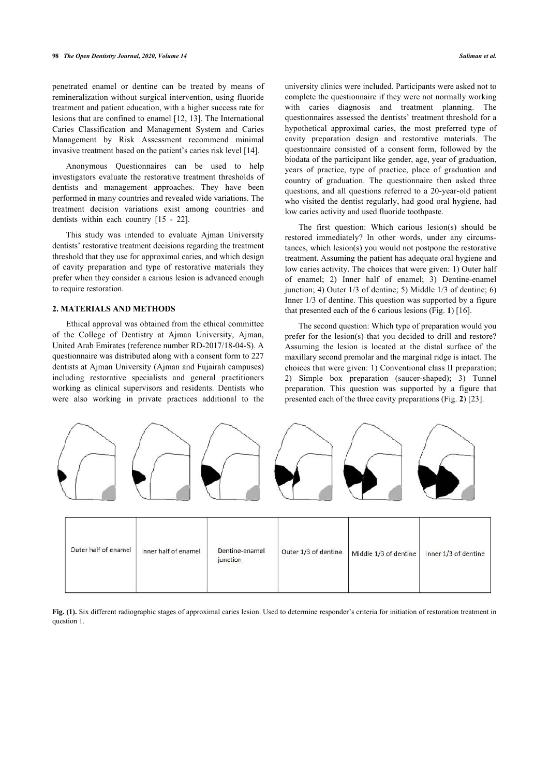penetrated enamel or dentine can be treated by means of remineralization without surgical intervention, using fluoride treatment and patient education, with a higher success rate for lesions that are confined to enamel [12, 13]. The International Caries Classification and Management System and Caries Management by Risk Assessment recommend minimal invasive treatment based on the patient's caries risk level [14].

Anonymous Questionnaires can be used to help investigators evaluate the restorative treatment thresholds of dentists and management approaches. They have been performed in many countries and revealed wide variations. The treatment decision variations exist among countries and dentists within each country [15 - 22].

This study was intended to evaluate Ajman University dentists' restorative treatment decisions regarding the treatment threshold that they use for approximal caries, and which design of cavity preparation and type of restorative materials they prefer when they consider a carious lesion is advanced enough to require restoration.

### **2. MATERIALS AND METHODS**

Ethical approval was obtained from the ethical committee of the College of Dentistry at Ajman University, Ajman, United Arab Emirates (reference number RD-2017/18-04-S). A questionnaire was distributed along with a consent form to 227 dentists at Ajman University (Ajman and Fujairah campuses) including restorative specialists and general practitioners working as clinical supervisors and residents. Dentists who were also working in private practices additional to the

university clinics were included. Participants were asked not to complete the questionnaire if they were not normally working with caries diagnosis and treatment planning. The questionnaires assessed the dentists' treatment threshold for a hypothetical approximal caries, the most preferred type of cavity preparation design and restorative materials. The questionnaire consisted of a consent form, followed by the biodata of the participant like gender, age, year of graduation, years of practice, type of practice, place of graduation and country of graduation. The questionnaire then asked three questions, and all questions referred to a 20-year-old patient who visited the dentist regularly, had good oral hygiene, had low caries activity and used fluoride toothpaste.

The first question: Which carious lesion(s) should be restored immediately? In other words, under any circumstances, which lesion(s) you would not postpone the restorative treatment. Assuming the patient has adequate oral hygiene and low caries activity. The choices that were given: 1) Outer half of enamel; 2) Inner half of enamel; 3) Dentine-enamel junction; 4) Outer 1/3 of dentine; 5) Middle 1/3 of dentine; 6) Inner 1/3 of dentine. This question was supported by a figure that presented each of the 6 carious lesions (Fig. **1**) [16].

The second question: Which type of preparation would you prefer for the lesion(s) that you decided to drill and restore? Assuming the lesion is located at the distal surface of the maxillary second premolar and the marginal ridge is intact. The choices that were given: 1) Conventional class II preparation; 2) Simple box preparation (saucer-shaped); 3) Tunnel preparation. This question was supported by a figure that presented each of the three cavity preparations (Fig. **2**) [23].



| Outer half of enamel | Inner half of enamel | Dentine-enamel<br>junction | Outer 1/3 of dentine | Middle 1/3 of dentine | Inner 1/3 of dentine |
|----------------------|----------------------|----------------------------|----------------------|-----------------------|----------------------|
|                      |                      |                            |                      |                       |                      |

**Fig. (1).** Six different radiographic stages of approximal caries lesion. Used to determine responder's criteria for initiation of restoration treatment in question 1.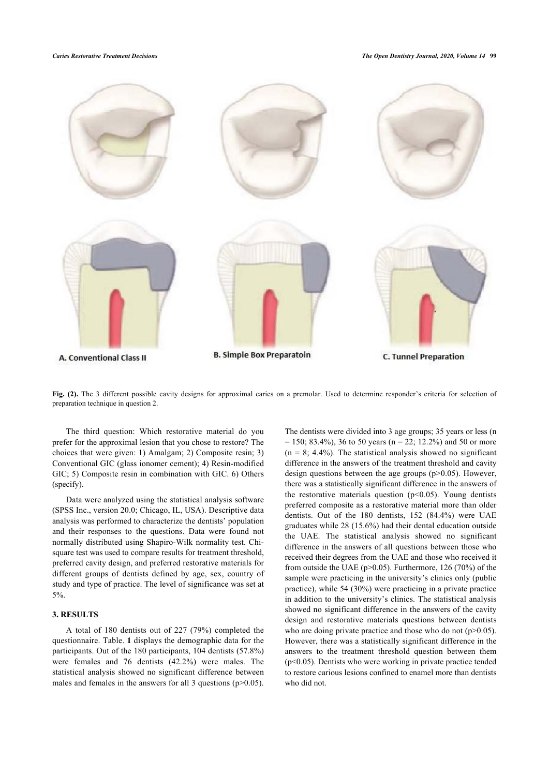

Fig. (2). The 3 different possible cavity designs for approximal caries on a premolar. Used to determine responder's criteria for selection of preparation technique in question 2.

The third question: Which restorative material do you prefer for the approximal lesion that you chose to restore? The choices that were given: 1) Amalgam; 2) Composite resin; 3) Conventional GIC (glass ionomer cement); 4) Resin-modified GIC; 5) Composite resin in combination with GIC. 6) Others (specify).

Data were analyzed using the statistical analysis software (SPSS Inc., version 20.0; Chicago, IL, USA). Descriptive data analysis was performed to characterize the dentists' population and their responses to the questions. Data were found not normally distributed using Shapiro-Wilk normality test. Chisquare test was used to compare results for treatment threshold, preferred cavity design, and preferred restorative materials for different groups of dentists defined by age, sex, country of study and type of practice. The level of significance was set at 5%.

#### **3. RESULTS**

A total of 180 dentists out of 227 (79%) completed the questionnaire. Table. **1** displays the demographic data for the participants. Out of the 180 participants, 104 dentists (57.8%) were females and 76 dentists (42.2%) were males. The statistical analysis showed no significant difference between males and females in the answers for all 3 questions  $(p>0.05)$ .

The dentists were divided into 3 age groups; 35 years or less (n  $= 150$ ; 83.4%), 36 to 50 years (n = 22; 12.2%) and 50 or more  $(n = 8; 4.4\%)$ . The statistical analysis showed no significant difference in the answers of the treatment threshold and cavity design questions between the age groups  $(p>0.05)$ . However, there was a statistically significant difference in the answers of the restorative materials question  $(p<0.05)$ . Young dentists preferred composite as a restorative material more than older dentists. Out of the 180 dentists, 152 (84.4%) were UAE graduates while 28 (15.6%) had their dental education outside the UAE. The statistical analysis showed no significant difference in the answers of all questions between those who received their degrees from the UAE and those who received it from outside the UAE (p>0.05). Furthermore, 126 (70%) of the sample were practicing in the university's clinics only (public practice), while 54 (30%) were practicing in a private practice in addition to the university's clinics. The statistical analysis showed no significant difference in the answers of the cavity design and restorative materials questions between dentists who are doing private practice and those who do not  $(p>0.05)$ . However, there was a statistically significant difference in the answers to the treatment threshold question between them  $(p<0.05)$ . Dentists who were working in private practice tended to restore carious lesions confined to enamel more than dentists who did not.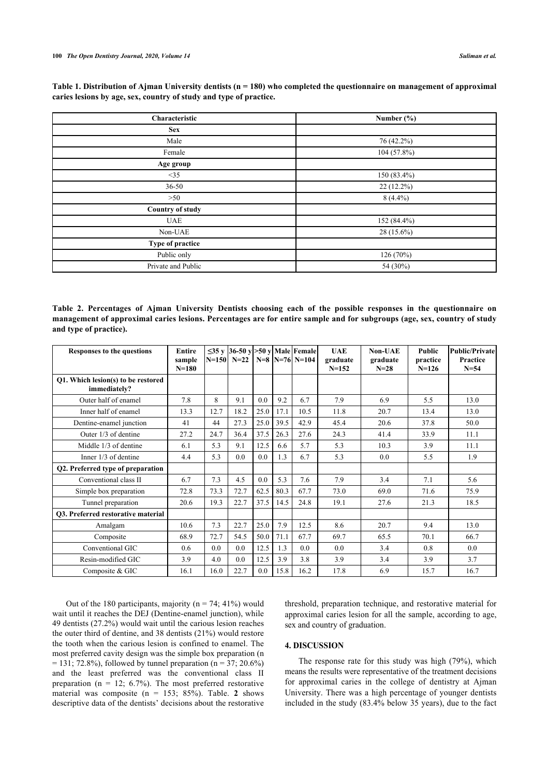| Table 1. Distribution of Ajman University dentists ( $n = 180$ ) who completed the questionnaire on management of approximal |  |
|------------------------------------------------------------------------------------------------------------------------------|--|
| caries lesions by age, sex, country of study and type of practice.                                                           |  |

| Characteristic          | Number $(\% )$ |  |  |  |  |
|-------------------------|----------------|--|--|--|--|
| <b>Sex</b>              |                |  |  |  |  |
| Male                    | 76 (42.2%)     |  |  |  |  |
| Female                  | 104 (57.8%)    |  |  |  |  |
| Age group               |                |  |  |  |  |
| <35                     | 150 (83.4%)    |  |  |  |  |
| $36 - 50$               | 22 (12.2%)     |  |  |  |  |
| >50                     | $8(4.4\%)$     |  |  |  |  |
| <b>Country of study</b> |                |  |  |  |  |
| <b>UAE</b>              | 152 (84.4%)    |  |  |  |  |
| Non-UAE                 | 28 (15.6%)     |  |  |  |  |
| Type of practice        |                |  |  |  |  |
| Public only             | 126 (70%)      |  |  |  |  |
| Private and Public      | 54 (30%)       |  |  |  |  |

**Table 2. Percentages of Ajman University Dentists choosing each of the possible responses in the questionnaire on management of approximal caries lesions. Percentages are for entire sample and for subgroups (age, sex, country of study and type of practice).**

| <b>Responses to the questions</b>                  | <b>Entire</b><br>sample<br>$N=180$ |      | N=150 N=22   N=8   N=76   N=104 |      |      | $\leq$ 35 v   36-50 v   > 50 v   Male   Female | <b>UAE</b><br>graduate<br>$N = 152$ | Non-UAE<br>graduate<br>$N = 28$ | Public<br>practice<br>$N=126$ | <b>Public/Private</b><br>Practice<br>$N = 54$ |
|----------------------------------------------------|------------------------------------|------|---------------------------------|------|------|------------------------------------------------|-------------------------------------|---------------------------------|-------------------------------|-----------------------------------------------|
| Q1. Which lesion(s) to be restored<br>immediately? |                                    |      |                                 |      |      |                                                |                                     |                                 |                               |                                               |
| Outer half of enamel                               | 7.8                                | 8    | 9.1                             | 0.0  | 9.2  | 6.7                                            | 7.9                                 | 6.9                             | 5.5                           | 13.0                                          |
| Inner half of enamel                               | 13.3                               | 12.7 | 18.2                            | 25.0 | 17.1 | 10.5                                           | 11.8                                | 20.7                            | 13.4                          | 13.0                                          |
| Dentine-enamel junction                            | 41                                 | 44   | 27.3                            | 25.0 | 39.5 | 42.9                                           | 45.4                                | 20.6                            | 37.8                          | 50.0                                          |
| Outer 1/3 of dentine                               | 27.2                               | 24.7 | 36.4                            | 37.5 | 26.3 | 27.6                                           | 24.3                                | 41.4                            | 33.9                          | 11.1                                          |
| Middle 1/3 of dentine                              | 6.1                                | 5.3  | 9.1                             | 12.5 | 6.6  | 5.7                                            | 5.3                                 | 10.3                            | 3.9                           | 11.1                                          |
| Inner $1/3$ of dentine                             | 4.4                                | 5.3  | 0.0                             | 0.0  | 1.3  | 6.7                                            | 5.3                                 | 0.0                             | 5.5                           | 1.9                                           |
| Q2. Preferred type of preparation                  |                                    |      |                                 |      |      |                                                |                                     |                                 |                               |                                               |
| Conventional class II                              | 6.7                                | 7.3  | 4.5                             | 0.0  | 5.3  | 7.6                                            | 7.9                                 | 3.4                             | 7.1                           | 5.6                                           |
| Simple box preparation                             | 72.8                               | 73.3 | 72.7                            | 62.5 | 80.3 | 67.7                                           | 73.0                                | 69.0                            | 71.6                          | 75.9                                          |
| Tunnel preparation                                 | 20.6                               | 19.3 | 22.7                            | 37.5 | 14.5 | 24.8                                           | 19.1                                | 27.6                            | 21.3                          | 18.5                                          |
| 03. Preferred restorative material                 |                                    |      |                                 |      |      |                                                |                                     |                                 |                               |                                               |
| Amalgam                                            | 10.6                               | 7.3  | 22.7                            | 25.0 | 7.9  | 12.5                                           | 8.6                                 | 20.7                            | 9.4                           | 13.0                                          |
| Composite                                          | 68.9                               | 72.7 | 54.5                            | 50.0 | 71.1 | 67.7                                           | 69.7                                | 65.5                            | 70.1                          | 66.7                                          |
| Conventional GIC                                   | 0.6                                | 0.0  | 0.0                             | 12.5 | 1.3  | 0.0                                            | 0.0                                 | 3.4                             | 0.8                           | 0.0                                           |
| Resin-modified GIC                                 | 3.9                                | 4.0  | 0.0                             | 12.5 | 3.9  | 3.8                                            | 3.9                                 | 3.4                             | 3.9                           | 3.7                                           |
| Composite & GIC                                    | 16.1                               | 16.0 | 22.7                            | 0.0  | 15.8 | 16.2                                           | 17.8                                | 6.9                             | 15.7                          | 16.7                                          |

Out of the 180 participants, majority ( $n = 74$ ; 41%) would wait until it reaches the DEJ (Dentine-enamel junction), while 49 dentists (27.2%) would wait until the carious lesion reaches the outer third of dentine, and 38 dentists (21%) would restore the tooth when the carious lesion is confined to enamel. The most preferred cavity design was the simple box preparation (n  $= 131$ ; 72.8%), followed by tunnel preparation (n = 37; 20.6%) and the least preferred was the conventional class II preparation ( $n = 12$ ; 6.7%). The most preferred restorative material was composite  $(n = 153; 85%)$ . Table. 2 shows descriptive data of the dentists' decisions about the restorative

threshold, preparation technique, and restorative material for approximal caries lesion for all the sample, according to age, sex and country of graduation.

## **4. DISCUSSION**

The response rate for this study was high (79%), which means the results were representative of the treatment decisions for approximal caries in the college of dentistry at Ajman University. There was a high percentage of younger dentists included in the study (83.4% below 35 years), due to the fact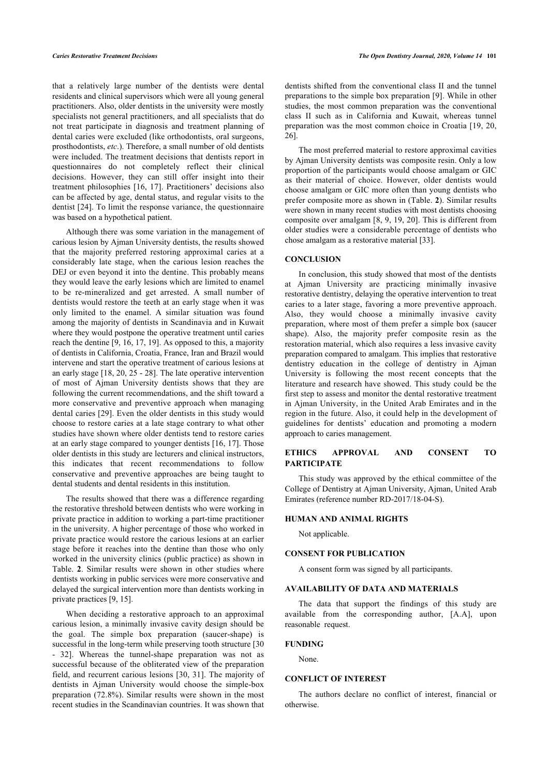that a relatively large number of the dentists were dental residents and clinical supervisors which were all young general practitioners. Also, older dentists in the university were mostly specialists not general practitioners, and all specialists that do not treat participate in diagnosis and treatment planning of dental caries were excluded (like orthodontists, oral surgeons, prosthodontists, *etc*.). Therefore, a small number of old dentists were included. The treatment decisions that dentists report in questionnaires do not completely reflect their clinical decisions. However, they can still offer insight into their treatment philosophies [16, 17]. Practitioners' decisions also can be affected by age, dental status, and regular visits to the dentist [24]. To limit the response variance, the questionnaire was based on a hypothetical patient.

Although there was some variation in the management of carious lesion by Ajman University dentists, the results showed that the majority preferred restoring approximal caries at a considerably late stage, when the carious lesion reaches the DEJ or even beyond it into the dentine. This probably means they would leave the early lesions which are limited to enamel to be re-mineralized and get arrested. A small number of dentists would restore the teeth at an early stage when it was only limited to the enamel. A similar situation was found among the majority of dentists in Scandinavia and in Kuwait where they would postpone the operative treatment until caries reach the dentine [9, 16, 17, 19]. As opposed to this, a majority of dentists in California, Croatia, France, Iran and Brazil would intervene and start the operative treatment of carious lesions at an early stage [18, 20, 25 - 28]. The late operative intervention of most of Ajman University dentists shows that they are following the current recommendations, and the shift toward a more conservative and preventive approach when managing dental caries [29]. Even the older dentists in this study would choose to restore caries at a late stage contrary to what other studies have shown where older dentists tend to restore caries at an early stage compared to younger dentists [16, 17]. Those older dentists in this study are lecturers and clinical instructors, this indicates that recent recommendations to follow conservative and preventive approaches are being taught to dental students and dental residents in this institution.

The results showed that there was a difference regarding the restorative threshold between dentists who were working in private practice in addition to working a part-time practitioner in the university. A higher percentage of those who worked in private practice would restore the carious lesions at an earlier stage before it reaches into the dentine than those who only worked in the university clinics (public practice) as shown in Table. **2**. Similar results were shown in other studies where dentists working in public services were more conservative and delayed the surgical intervention more than dentists working in private practices [9, 15].

When deciding a restorative approach to an approximal carious lesion, a minimally invasive cavity design should be the goal. The simple box preparation (saucer-shape) is successful in the long-term while preserving tooth structure [30] - 32]. Whereas the tunnel-shape preparation was not as successful because of the obliterated view of the preparation field, and recurrent carious lesions [30, 31]. The majority of dentists in Ajman University would choose the simple-box preparation (72.8%). Similar results were shown in the most recent studies in the Scandinavian countries. It was shown that dentists shifted from the conventional class II and the tunnel preparations to the simple box preparation [9]. While in other studies, the most common preparation was the conventional class II such as in California and Kuwait, whereas tunnel preparation was the most common choice in Croatia [19, 20, 26].

The most preferred material to restore approximal cavities by Ajman University dentists was composite resin. Only a low proportion of the participants would choose amalgam or GIC as their material of choice. However, older dentists would choose amalgam or GIC more often than young dentists who prefer composite more as shown in (Table. **2**). Similar results were shown in many recent studies with most dentists choosing composite over amalgam [8, 9, 19, 20]. This is different from older studies were a considerable percentage of dentists who chose amalgam as a restorative material [33].

#### **CONCLUSION**

In conclusion, this study showed that most of the dentists at Ajman University are practicing minimally invasive restorative dentistry, delaying the operative intervention to treat caries to a later stage, favoring a more preventive approach. Also, they would choose a minimally invasive cavity preparation, where most of them prefer a simple box (saucer shape). Also, the majority prefer composite resin as the restoration material, which also requires a less invasive cavity preparation compared to amalgam. This implies that restorative dentistry education in the college of dentistry in Ajman University is following the most recent concepts that the literature and research have showed. This study could be the first step to assess and monitor the dental restorative treatment in Ajman University, in the United Arab Emirates and in the region in the future. Also, it could help in the development of guidelines for dentists' education and promoting a modern approach to caries management.

### **ETHICS APPROVAL AND CONSENT TO PARTICIPATE**

This study was approved by the ethical committee of the College of Dentistry at Ajman University, Ajman, United Arab Emirates (reference number RD-2017/18-04-S).

#### **HUMAN AND ANIMAL RIGHTS**

Not applicable.

#### **CONSENT FOR PUBLICATION**

A consent form was signed by all participants.

#### **AVAILABILITY OF DATA AND MATERIALS**

The data that support the findings of this study are available from the corresponding author, [A.A], upon reasonable request.

#### **FUNDING**

None.

#### **CONFLICT OF INTEREST**

The authors declare no conflict of interest, financial or otherwise.